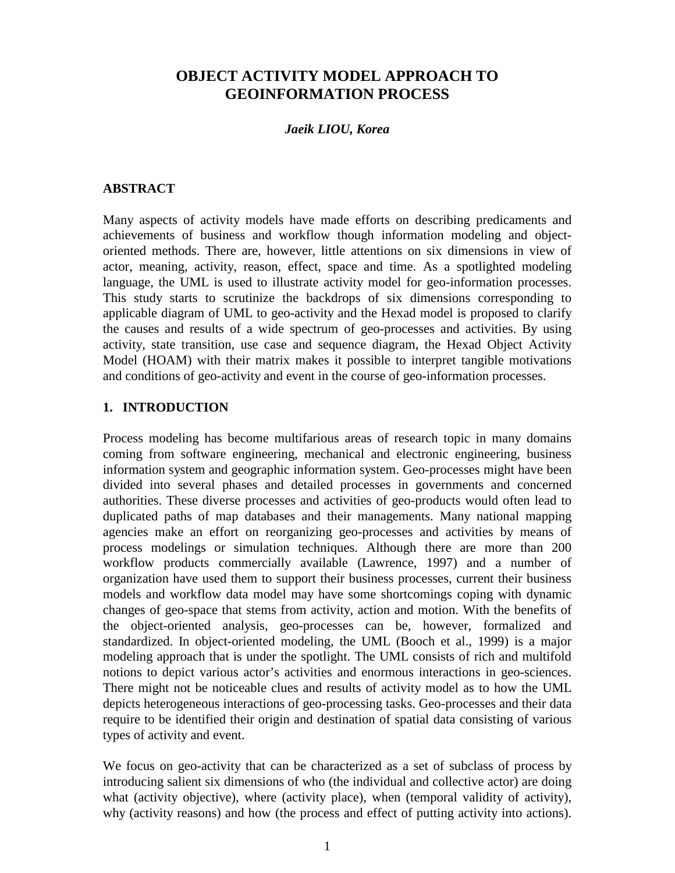## **OBJECT ACTIVITY MODEL APPROACH TO GEOINFORMATION PROCESS**

#### *Jaeik LIOU, Korea*

### **ABSTRACT**

Many aspects of activity models have made efforts on describing predicaments and achievements of business and workflow though information modeling and objectoriented methods. There are, however, little attentions on six dimensions in view of actor, meaning, activity, reason, effect, space and time. As a spotlighted modeling language, the UML is used to illustrate activity model for geo-information processes. This study starts to scrutinize the backdrops of six dimensions corresponding to applicable diagram of UML to geo-activity and the Hexad model is proposed to clarify the causes and results of a wide spectrum of geo-processes and activities. By using activity, state transition, use case and sequence diagram, the Hexad Object Activity Model (HOAM) with their matrix makes it possible to interpret tangible motivations and conditions of geo-activity and event in the course of geo-information processes.

### **1. INTRODUCTION**

Process modeling has become multifarious areas of research topic in many domains coming from software engineering, mechanical and electronic engineering, business information system and geographic information system. Geo-processes might have been divided into several phases and detailed processes in governments and concerned authorities. These diverse processes and activities of geo-products would often lead to duplicated paths of map databases and their managements. Many national mapping agencies make an effort on reorganizing geo-processes and activities by means of process modelings or simulation techniques. Although there are more than 200 workflow products commercially available (Lawrence, 1997) and a number of organization have used them to support their business processes, current their business models and workflow data model may have some shortcomings coping with dynamic changes of geo-space that stems from activity, action and motion. With the benefits of the object-oriented analysis, geo-processes can be, however, formalized and standardized. In object-oriented modeling, the UML (Booch et al., 1999) is a major modeling approach that is under the spotlight. The UML consists of rich and multifold notions to depict various actor's activities and enormous interactions in geo-sciences. There might not be noticeable clues and results of activity model as to how the UML depicts heterogeneous interactions of geo-processing tasks. Geo-processes and their data require to be identified their origin and destination of spatial data consisting of various types of activity and event.

We focus on geo-activity that can be characterized as a set of subclass of process by introducing salient six dimensions of who (the individual and collective actor) are doing what (activity objective), where (activity place), when (temporal validity of activity), why (activity reasons) and how (the process and effect of putting activity into actions).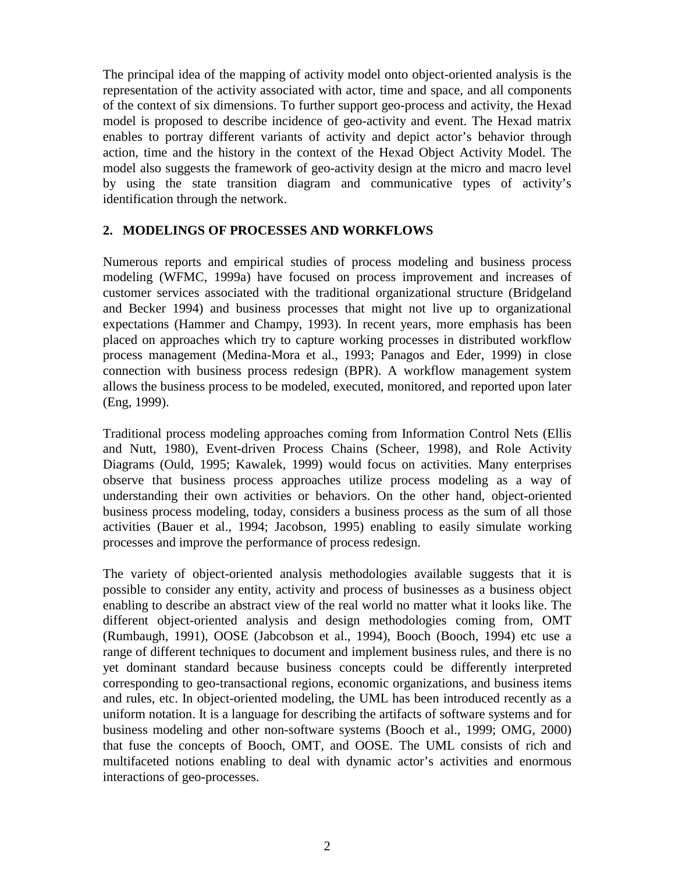The principal idea of the mapping of activity model onto object-oriented analysis is the representation of the activity associated with actor, time and space, and all components of the context of six dimensions. To further support geo-process and activity, the Hexad model is proposed to describe incidence of geo-activity and event. The Hexad matrix enables to portray different variants of activity and depict actor's behavior through action, time and the history in the context of the Hexad Object Activity Model. The model also suggests the framework of geo-activity design at the micro and macro level by using the state transition diagram and communicative types of activity's identification through the network.

## **2. MODELINGS OF PROCESSES AND WORKFLOWS**

Numerous reports and empirical studies of process modeling and business process modeling (WFMC, 1999a) have focused on process improvement and increases of customer services associated with the traditional organizational structure (Bridgeland and Becker 1994) and business processes that might not live up to organizational expectations (Hammer and Champy, 1993). In recent years, more emphasis has been placed on approaches which try to capture working processes in distributed workflow process management (Medina-Mora et al., 1993; Panagos and Eder, 1999) in close connection with business process redesign (BPR). A workflow management system allows the business process to be modeled, executed, monitored, and reported upon later (Eng, 1999).

Traditional process modeling approaches coming from Information Control Nets (Ellis and Nutt, 1980), Event-driven Process Chains (Scheer, 1998), and Role Activity Diagrams (Ould, 1995; Kawalek, 1999) would focus on activities. Many enterprises observe that business process approaches utilize process modeling as a way of understanding their own activities or behaviors. On the other hand, object-oriented business process modeling, today, considers a business process as the sum of all those activities (Bauer et al., 1994; Jacobson, 1995) enabling to easily simulate working processes and improve the performance of process redesign.

The variety of object-oriented analysis methodologies available suggests that it is possible to consider any entity, activity and process of businesses as a business object enabling to describe an abstract view of the real world no matter what it looks like. The different object-oriented analysis and design methodologies coming from, OMT (Rumbaugh, 1991), OOSE (Jabcobson et al., 1994), Booch (Booch, 1994) etc use a range of different techniques to document and implement business rules, and there is no yet dominant standard because business concepts could be differently interpreted corresponding to geo-transactional regions, economic organizations, and business items and rules, etc. In object-oriented modeling, the UML has been introduced recently as a uniform notation. It is a language for describing the artifacts of software systems and for business modeling and other non-software systems (Booch et al., 1999; OMG, 2000) that fuse the concepts of Booch, OMT, and OOSE. The UML consists of rich and multifaceted notions enabling to deal with dynamic actor's activities and enormous interactions of geo-processes.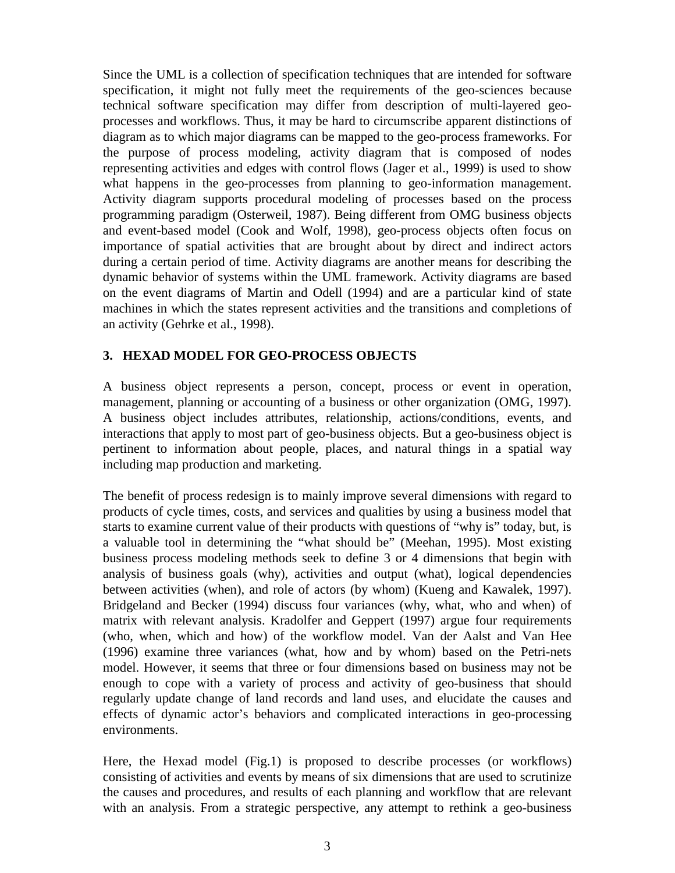Since the UML is a collection of specification techniques that are intended for software specification, it might not fully meet the requirements of the geo-sciences because technical software specification may differ from description of multi-layered geoprocesses and workflows. Thus, it may be hard to circumscribe apparent distinctions of diagram as to which major diagrams can be mapped to the geo-process frameworks. For the purpose of process modeling, activity diagram that is composed of nodes representing activities and edges with control flows (Jager et al., 1999) is used to show what happens in the geo-processes from planning to geo-information management. Activity diagram supports procedural modeling of processes based on the process programming paradigm (Osterweil, 1987). Being different from OMG business objects and event-based model (Cook and Wolf, 1998), geo-process objects often focus on importance of spatial activities that are brought about by direct and indirect actors during a certain period of time. Activity diagrams are another means for describing the dynamic behavior of systems within the UML framework. Activity diagrams are based on the event diagrams of Martin and Odell (1994) and are a particular kind of state machines in which the states represent activities and the transitions and completions of an activity (Gehrke et al., 1998).

### **3. HEXAD MODEL FOR GEO-PROCESS OBJECTS**

A business object represents a person, concept, process or event in operation, management, planning or accounting of a business or other organization (OMG, 1997). A business object includes attributes, relationship, actions/conditions, events, and interactions that apply to most part of geo-business objects. But a geo-business object is pertinent to information about people, places, and natural things in a spatial way including map production and marketing.

The benefit of process redesign is to mainly improve several dimensions with regard to products of cycle times, costs, and services and qualities by using a business model that starts to examine current value of their products with questions of "why is" today, but, is a valuable tool in determining the "what should be" (Meehan, 1995). Most existing business process modeling methods seek to define 3 or 4 dimensions that begin with analysis of business goals (why), activities and output (what), logical dependencies between activities (when), and role of actors (by whom) (Kueng and Kawalek, 1997). Bridgeland and Becker (1994) discuss four variances (why, what, who and when) of matrix with relevant analysis. Kradolfer and Geppert (1997) argue four requirements (who, when, which and how) of the workflow model. Van der Aalst and Van Hee (1996) examine three variances (what, how and by whom) based on the Petri-nets model. However, it seems that three or four dimensions based on business may not be enough to cope with a variety of process and activity of geo-business that should regularly update change of land records and land uses, and elucidate the causes and effects of dynamic actor's behaviors and complicated interactions in geo-processing environments.

Here, the Hexad model (Fig.1) is proposed to describe processes (or workflows) consisting of activities and events by means of six dimensions that are used to scrutinize the causes and procedures, and results of each planning and workflow that are relevant with an analysis. From a strategic perspective, any attempt to rethink a geo-business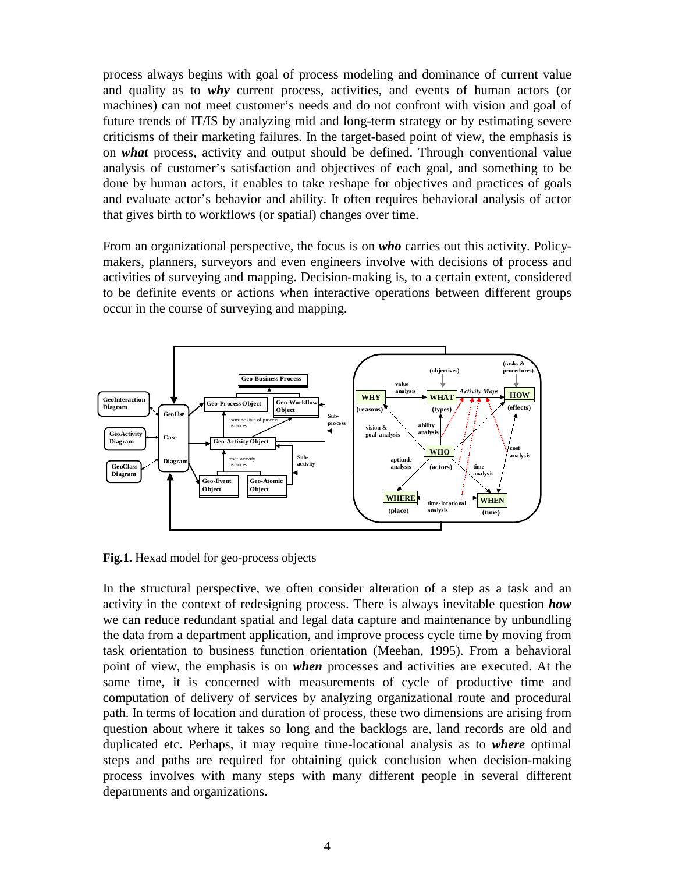process always begins with goal of process modeling and dominance of current value and quality as to *why* current process, activities, and events of human actors (or machines) can not meet customer's needs and do not confront with vision and goal of future trends of IT/IS by analyzing mid and long-term strategy or by estimating severe criticisms of their marketing failures. In the target-based point of view, the emphasis is on *what* process, activity and output should be defined. Through conventional value analysis of customer's satisfaction and objectives of each goal, and something to be done by human actors, it enables to take reshape for objectives and practices of goals and evaluate actor's behavior and ability. It often requires behavioral analysis of actor that gives birth to workflows (or spatial) changes over time.

From an organizational perspective, the focus is on *who* carries out this activity. Policymakers, planners, surveyors and even engineers involve with decisions of process and activities of surveying and mapping. Decision-making is, to a certain extent, considered to be definite events or actions when interactive operations between different groups occur in the course of surveying and mapping.



**Fig.1.** Hexad model for geo-process objects

In the structural perspective, we often consider alteration of a step as a task and an activity in the context of redesigning process. There is always inevitable question *how* we can reduce redundant spatial and legal data capture and maintenance by unbundling the data from a department application, and improve process cycle time by moving from task orientation to business function orientation (Meehan, 1995). From a behavioral point of view, the emphasis is on *when* processes and activities are executed. At the same time, it is concerned with measurements of cycle of productive time and computation of delivery of services by analyzing organizational route and procedural path. In terms of location and duration of process, these two dimensions are arising from question about where it takes so long and the backlogs are, land records are old and duplicated etc. Perhaps, it may require time-locational analysis as to *where* optimal steps and paths are required for obtaining quick conclusion when decision-making process involves with many steps with many different people in several different departments and organizations.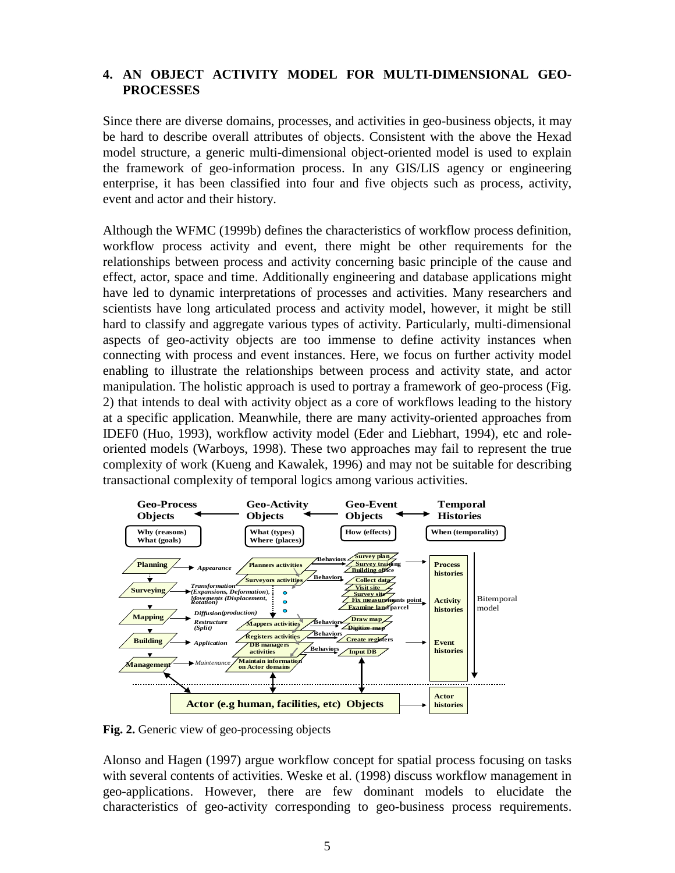## **4. AN OBJECT ACTIVITY MODEL FOR MULTI-DIMENSIONAL GEO-PROCESSES**

Since there are diverse domains, processes, and activities in geo-business objects, it may be hard to describe overall attributes of objects. Consistent with the above the Hexad model structure, a generic multi-dimensional object-oriented model is used to explain the framework of geo-information process. In any GIS/LIS agency or engineering enterprise, it has been classified into four and five objects such as process, activity, event and actor and their history.

Although the WFMC (1999b) defines the characteristics of workflow process definition, workflow process activity and event, there might be other requirements for the relationships between process and activity concerning basic principle of the cause and effect, actor, space and time. Additionally engineering and database applications might have led to dynamic interpretations of processes and activities. Many researchers and scientists have long articulated process and activity model, however, it might be still hard to classify and aggregate various types of activity. Particularly, multi-dimensional aspects of geo-activity objects are too immense to define activity instances when connecting with process and event instances. Here, we focus on further activity model enabling to illustrate the relationships between process and activity state, and actor manipulation. The holistic approach is used to portray a framework of geo-process (Fig. 2) that intends to deal with activity object as a core of workflows leading to the history at a specific application. Meanwhile, there are many activity-oriented approaches from IDEF0 (Huo, 1993), workflow activity model (Eder and Liebhart, 1994), etc and roleoriented models (Warboys, 1998). These two approaches may fail to represent the true complexity of work (Kueng and Kawalek, 1996) and may not be suitable for describing transactional complexity of temporal logics among various activities.



**Fig. 2.** Generic view of geo-processing objects

Alonso and Hagen (1997) argue workflow concept for spatial process focusing on tasks with several contents of activities. Weske et al. (1998) discuss workflow management in geo-applications. However, there are few dominant models to elucidate the characteristics of geo-activity corresponding to geo-business process requirements.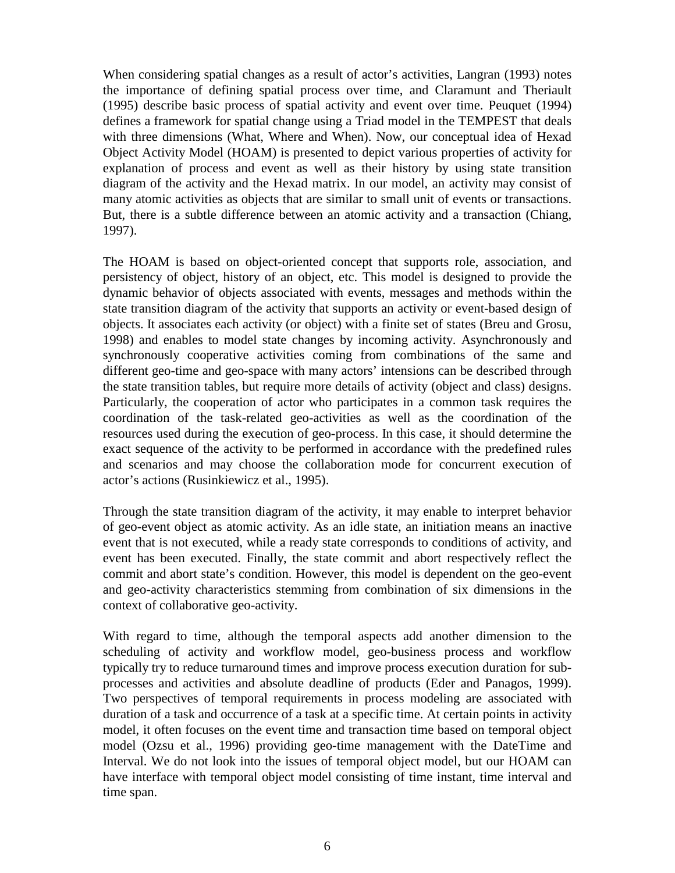When considering spatial changes as a result of actor's activities, Langran (1993) notes the importance of defining spatial process over time, and Claramunt and Theriault (1995) describe basic process of spatial activity and event over time. Peuquet (1994) defines a framework for spatial change using a Triad model in the TEMPEST that deals with three dimensions (What, Where and When). Now, our conceptual idea of Hexad Object Activity Model (HOAM) is presented to depict various properties of activity for explanation of process and event as well as their history by using state transition diagram of the activity and the Hexad matrix. In our model, an activity may consist of many atomic activities as objects that are similar to small unit of events or transactions. But, there is a subtle difference between an atomic activity and a transaction (Chiang, 1997).

The HOAM is based on object-oriented concept that supports role, association, and persistency of object, history of an object, etc. This model is designed to provide the dynamic behavior of objects associated with events, messages and methods within the state transition diagram of the activity that supports an activity or event-based design of objects. It associates each activity (or object) with a finite set of states (Breu and Grosu, 1998) and enables to model state changes by incoming activity. Asynchronously and synchronously cooperative activities coming from combinations of the same and different geo-time and geo-space with many actors' intensions can be described through the state transition tables, but require more details of activity (object and class) designs. Particularly, the cooperation of actor who participates in a common task requires the coordination of the task-related geo-activities as well as the coordination of the resources used during the execution of geo-process. In this case, it should determine the exact sequence of the activity to be performed in accordance with the predefined rules and scenarios and may choose the collaboration mode for concurrent execution of actor's actions (Rusinkiewicz et al., 1995).

Through the state transition diagram of the activity, it may enable to interpret behavior of geo-event object as atomic activity. As an idle state, an initiation means an inactive event that is not executed, while a ready state corresponds to conditions of activity, and event has been executed. Finally, the state commit and abort respectively reflect the commit and abort state's condition. However, this model is dependent on the geo-event and geo-activity characteristics stemming from combination of six dimensions in the context of collaborative geo-activity.

With regard to time, although the temporal aspects add another dimension to the scheduling of activity and workflow model, geo-business process and workflow typically try to reduce turnaround times and improve process execution duration for subprocesses and activities and absolute deadline of products (Eder and Panagos, 1999). Two perspectives of temporal requirements in process modeling are associated with duration of a task and occurrence of a task at a specific time. At certain points in activity model, it often focuses on the event time and transaction time based on temporal object model (Ozsu et al., 1996) providing geo-time management with the DateTime and Interval. We do not look into the issues of temporal object model, but our HOAM can have interface with temporal object model consisting of time instant, time interval and time span.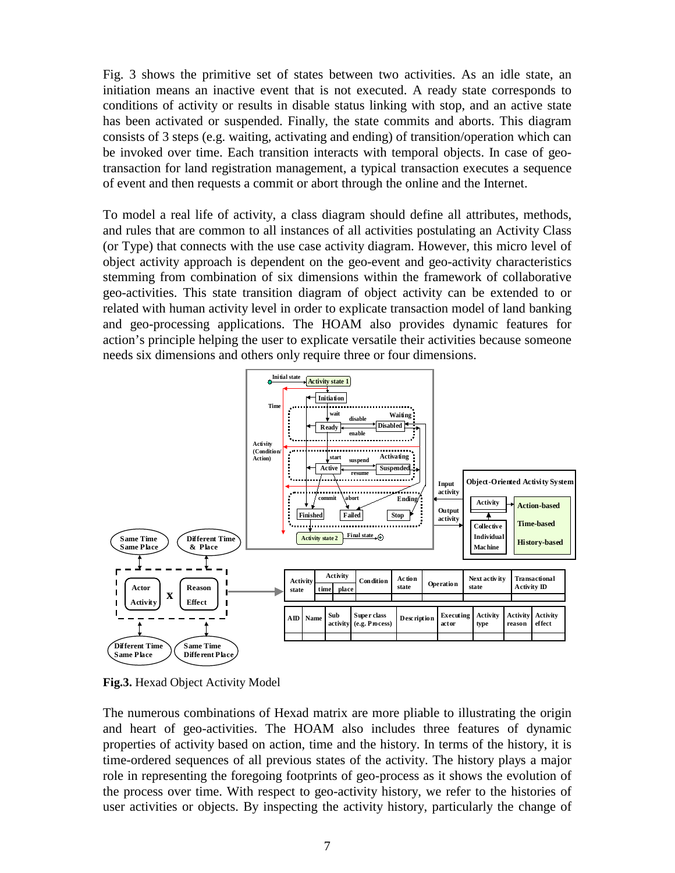Fig. 3 shows the primitive set of states between two activities. As an idle state, an initiation means an inactive event that is not executed. A ready state corresponds to conditions of activity or results in disable status linking with stop, and an active state has been activated or suspended. Finally, the state commits and aborts. This diagram consists of 3 steps (e.g. waiting, activating and ending) of transition/operation which can be invoked over time. Each transition interacts with temporal objects. In case of geotransaction for land registration management, a typical transaction executes a sequence of event and then requests a commit or abort through the online and the Internet.

To model a real life of activity, a class diagram should define all attributes, methods, and rules that are common to all instances of all activities postulating an Activity Class (or Type) that connects with the use case activity diagram. However, this micro level of object activity approach is dependent on the geo-event and geo-activity characteristics stemming from combination of six dimensions within the framework of collaborative geo-activities. This state transition diagram of object activity can be extended to or related with human activity level in order to explicate transaction model of land banking and geo-processing applications. The HOAM also provides dynamic features for action's principle helping the user to explicate versatile their activities because someone needs six dimensions and others only require three or four dimensions.



**Fig.3.** Hexad Object Activity Model

The numerous combinations of Hexad matrix are more pliable to illustrating the origin and heart of geo-activities. The HOAM also includes three features of dynamic properties of activity based on action, time and the history. In terms of the history, it is time-ordered sequences of all previous states of the activity. The history plays a major role in representing the foregoing footprints of geo-process as it shows the evolution of the process over time. With respect to geo-activity history, we refer to the histories of user activities or objects. By inspecting the activity history, particularly the change of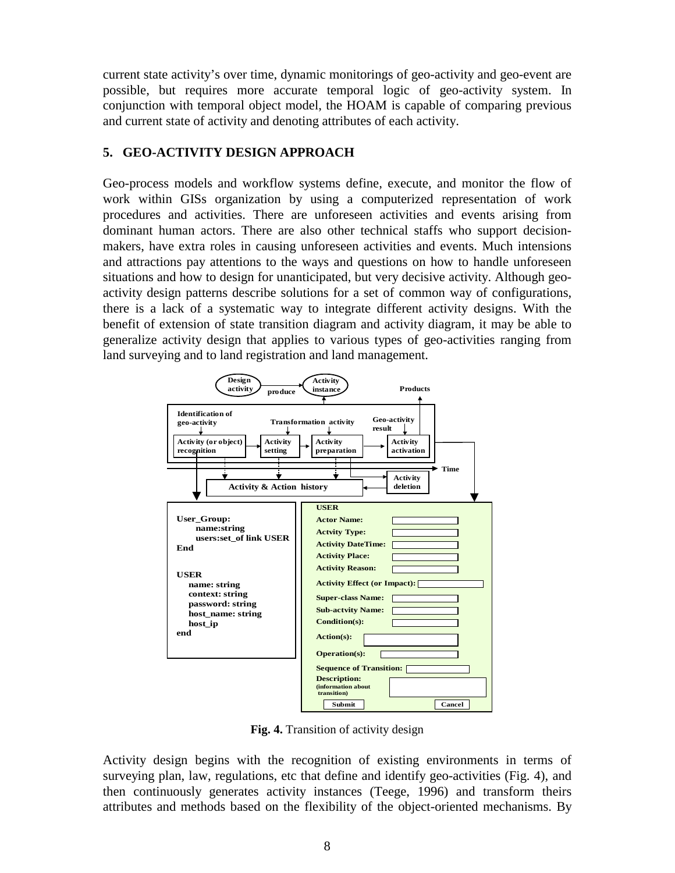current state activity's over time, dynamic monitorings of geo-activity and geo-event are possible, but requires more accurate temporal logic of geo-activity system. In conjunction with temporal object model, the HOAM is capable of comparing previous and current state of activity and denoting attributes of each activity.

## **5. GEO-ACTIVITY DESIGN APPROACH**

Geo-process models and workflow systems define, execute, and monitor the flow of work within GISs organization by using a computerized representation of work procedures and activities. There are unforeseen activities and events arising from dominant human actors. There are also other technical staffs who support decisionmakers, have extra roles in causing unforeseen activities and events. Much intensions and attractions pay attentions to the ways and questions on how to handle unforeseen situations and how to design for unanticipated, but very decisive activity. Although geoactivity design patterns describe solutions for a set of common way of configurations, there is a lack of a systematic way to integrate different activity designs. With the benefit of extension of state transition diagram and activity diagram, it may be able to generalize activity design that applies to various types of geo-activities ranging from land surveying and to land registration and land management.



**Fig. 4.** Transition of activity design

Activity design begins with the recognition of existing environments in terms of surveying plan, law, regulations, etc that define and identify geo-activities (Fig. 4), and then continuously generates activity instances (Teege, 1996) and transform theirs attributes and methods based on the flexibility of the object-oriented mechanisms. By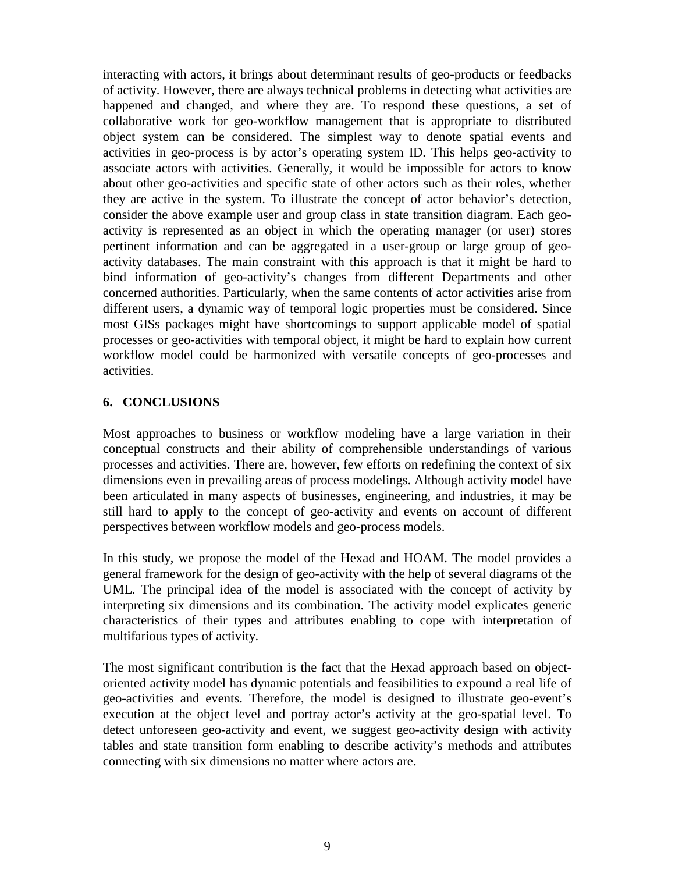interacting with actors, it brings about determinant results of geo-products or feedbacks of activity. However, there are always technical problems in detecting what activities are happened and changed, and where they are. To respond these questions, a set of collaborative work for geo-workflow management that is appropriate to distributed object system can be considered. The simplest way to denote spatial events and activities in geo-process is by actor's operating system ID. This helps geo-activity to associate actors with activities. Generally, it would be impossible for actors to know about other geo-activities and specific state of other actors such as their roles, whether they are active in the system. To illustrate the concept of actor behavior's detection, consider the above example user and group class in state transition diagram. Each geoactivity is represented as an object in which the operating manager (or user) stores pertinent information and can be aggregated in a user-group or large group of geoactivity databases. The main constraint with this approach is that it might be hard to bind information of geo-activity's changes from different Departments and other concerned authorities. Particularly, when the same contents of actor activities arise from different users, a dynamic way of temporal logic properties must be considered. Since most GISs packages might have shortcomings to support applicable model of spatial processes or geo-activities with temporal object, it might be hard to explain how current workflow model could be harmonized with versatile concepts of geo-processes and activities.

### **6. CONCLUSIONS**

Most approaches to business or workflow modeling have a large variation in their conceptual constructs and their ability of comprehensible understandings of various processes and activities. There are, however, few efforts on redefining the context of six dimensions even in prevailing areas of process modelings. Although activity model have been articulated in many aspects of businesses, engineering, and industries, it may be still hard to apply to the concept of geo-activity and events on account of different perspectives between workflow models and geo-process models.

In this study, we propose the model of the Hexad and HOAM. The model provides a general framework for the design of geo-activity with the help of several diagrams of the UML. The principal idea of the model is associated with the concept of activity by interpreting six dimensions and its combination. The activity model explicates generic characteristics of their types and attributes enabling to cope with interpretation of multifarious types of activity.

The most significant contribution is the fact that the Hexad approach based on objectoriented activity model has dynamic potentials and feasibilities to expound a real life of geo-activities and events. Therefore, the model is designed to illustrate geo-event's execution at the object level and portray actor's activity at the geo-spatial level. To detect unforeseen geo-activity and event, we suggest geo-activity design with activity tables and state transition form enabling to describe activity's methods and attributes connecting with six dimensions no matter where actors are.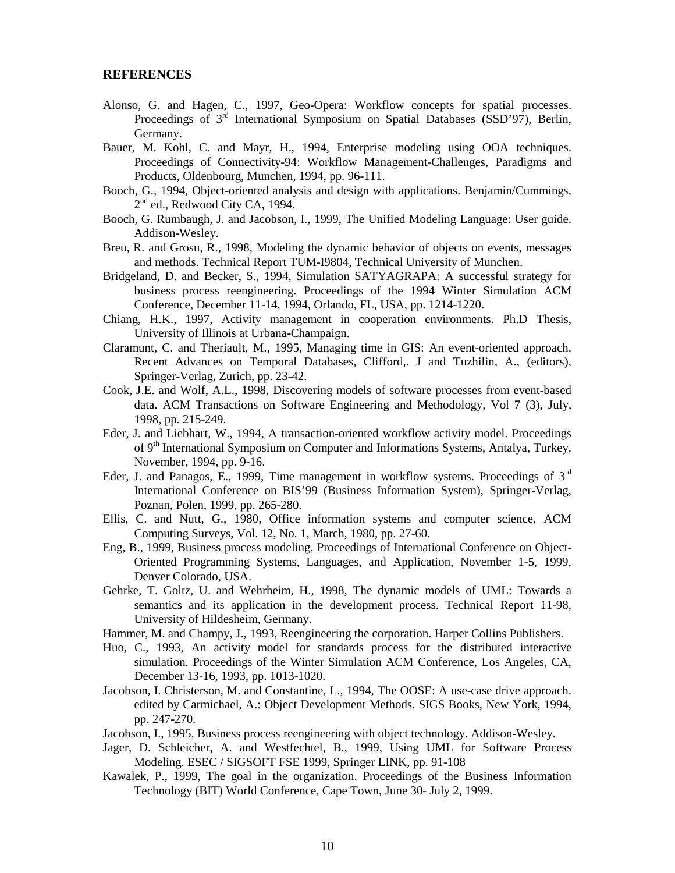#### **REFERENCES**

- Alonso, G. and Hagen, C., 1997, Geo-Opera: Workflow concepts for spatial processes. Proceedings of 3rd International Symposium on Spatial Databases (SSD'97), Berlin, Germany.
- Bauer, M. Kohl, C. and Mayr, H., 1994, Enterprise modeling using OOA techniques. Proceedings of Connectivity-94: Workflow Management-Challenges, Paradigms and Products, Oldenbourg, Munchen, 1994, pp. 96-111.
- Booch, G., 1994, Object-oriented analysis and design with applications. Benjamin/Cummings,  $2<sup>nd</sup>$  ed., Redwood City CA, 1994.
- Booch, G. Rumbaugh, J. and Jacobson, I., 1999, The Unified Modeling Language: User guide. Addison-Wesley.
- Breu, R. and Grosu, R., 1998, Modeling the dynamic behavior of objects on events, messages and methods. Technical Report TUM-I9804, Technical University of Munchen.
- Bridgeland, D. and Becker, S., 1994, Simulation SATYAGRAPA: A successful strategy for business process reengineering. Proceedings of the 1994 Winter Simulation ACM Conference, December 11-14, 1994, Orlando, FL, USA, pp. 1214-1220.
- Chiang, H.K., 1997, Activity management in cooperation environments. Ph.D Thesis, University of Illinois at Urbana-Champaign.
- Claramunt, C. and Theriault, M., 1995, Managing time in GIS: An event-oriented approach. Recent Advances on Temporal Databases, Clifford,. J and Tuzhilin, A., (editors), Springer-Verlag, Zurich, pp. 23-42.
- Cook, J.E. and Wolf, A.L., 1998, Discovering models of software processes from event-based data. ACM Transactions on Software Engineering and Methodology, Vol 7 (3), July, 1998, pp. 215-249.
- Eder, J. and Liebhart, W., 1994, A transaction-oriented workflow activity model. Proceedings of 9th International Symposium on Computer and Informations Systems, Antalya, Turkey, November, 1994, pp. 9-16.
- Eder, J. and Panagos, E., 1999, Time management in workflow systems. Proceedings of 3<sup>rd</sup> International Conference on BIS'99 (Business Information System), Springer-Verlag, Poznan, Polen, 1999, pp. 265-280.
- Ellis, C. and Nutt, G., 1980, Office information systems and computer science, ACM Computing Surveys, Vol. 12, No. 1, March, 1980, pp. 27-60.
- Eng, B., 1999, Business process modeling. Proceedings of International Conference on Object-Oriented Programming Systems, Languages, and Application, November 1-5, 1999, Denver Colorado, USA.
- Gehrke, T. Goltz, U. and Wehrheim, H., 1998, The dynamic models of UML: Towards a semantics and its application in the development process. Technical Report 11-98, University of Hildesheim, Germany.
- Hammer, M. and Champy, J., 1993, Reengineering the corporation. Harper Collins Publishers.
- Huo, C., 1993, An activity model for standards process for the distributed interactive simulation. Proceedings of the Winter Simulation ACM Conference, Los Angeles, CA, December 13-16, 1993, pp. 1013-1020.
- Jacobson, I. Christerson, M. and Constantine, L., 1994, The OOSE: A use-case drive approach. edited by Carmichael, A.: Object Development Methods. SIGS Books, New York, 1994, pp. 247-270.
- Jacobson, I., 1995, Business process reengineering with object technology. Addison-Wesley.
- Jager, D. Schleicher, A. and Westfechtel, B., 1999, Using UML for Software Process Modeling. ESEC / SIGSOFT FSE 1999, Springer LINK, pp. 91-108
- Kawalek, P., 1999, The goal in the organization. Proceedings of the Business Information Technology (BIT) World Conference, Cape Town, June 30- July 2, 1999.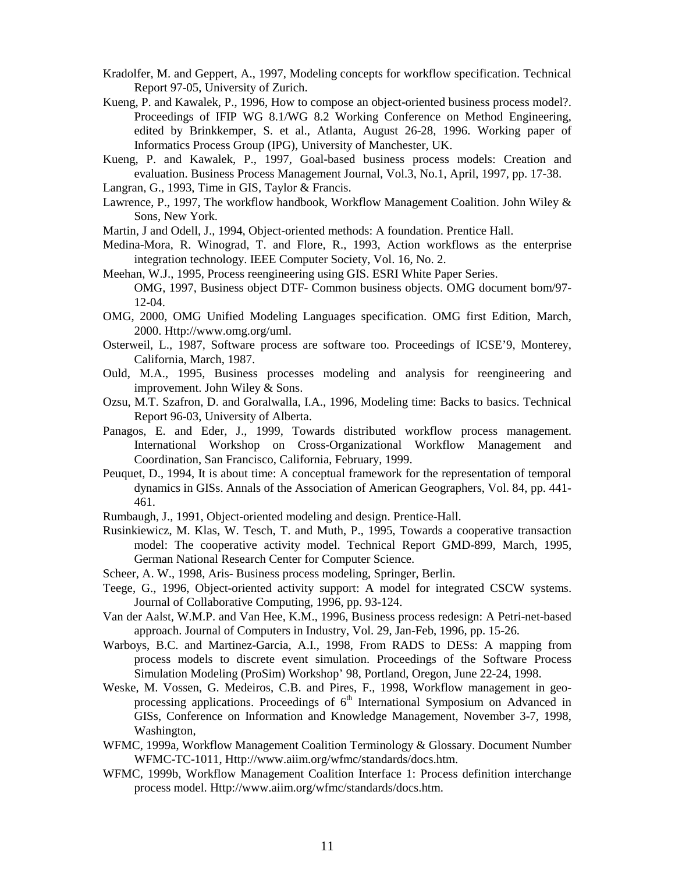- Kradolfer, M. and Geppert, A., 1997, Modeling concepts for workflow specification. Technical Report 97-05, University of Zurich.
- Kueng, P. and Kawalek, P., 1996, How to compose an object-oriented business process model?. Proceedings of IFIP WG 8.1/WG 8.2 Working Conference on Method Engineering, edited by Brinkkemper, S. et al., Atlanta, August 26-28, 1996. Working paper of Informatics Process Group (IPG), University of Manchester, UK.
- Kueng, P. and Kawalek, P., 1997, Goal-based business process models: Creation and evaluation. Business Process Management Journal, Vol.3, No.1, April, 1997, pp. 17-38.
- Langran, G., 1993, Time in GIS, Taylor & Francis.
- Lawrence, P., 1997, The workflow handbook, Workflow Management Coalition. John Wiley & Sons, New York.
- Martin, J and Odell, J., 1994, Object-oriented methods: A foundation. Prentice Hall.
- Medina-Mora, R. Winograd, T. and Flore, R., 1993, Action workflows as the enterprise integration technology. IEEE Computer Society, Vol. 16, No. 2.
- Meehan, W.J., 1995, Process reengineering using GIS. ESRI White Paper Series. OMG, 1997, Business object DTF- Common business objects. OMG document bom/97- 12-04.
- OMG, 2000, OMG Unified Modeling Languages specification. OMG first Edition, March, 2000. Http://www.omg.org/uml.
- Osterweil, L., 1987, Software process are software too. Proceedings of ICSE'9, Monterey, California, March, 1987.
- Ould, M.A., 1995, Business processes modeling and analysis for reengineering and improvement. John Wiley & Sons.
- Ozsu, M.T. Szafron, D. and Goralwalla, I.A., 1996, Modeling time: Backs to basics. Technical Report 96-03, University of Alberta.
- Panagos, E. and Eder, J., 1999, Towards distributed workflow process management. International Workshop on Cross-Organizational Workflow Management and Coordination, San Francisco, California, February, 1999.
- Peuquet, D., 1994, It is about time: A conceptual framework for the representation of temporal dynamics in GISs. Annals of the Association of American Geographers, Vol. 84, pp. 441- 461.
- Rumbaugh, J., 1991, Object-oriented modeling and design. Prentice-Hall.
- Rusinkiewicz, M. Klas, W. Tesch, T. and Muth, P., 1995, Towards a cooperative transaction model: The cooperative activity model. Technical Report GMD-899, March, 1995, German National Research Center for Computer Science.
- Scheer, A. W., 1998, Aris- Business process modeling, Springer, Berlin.
- Teege, G., 1996, Object-oriented activity support: A model for integrated CSCW systems. Journal of Collaborative Computing, 1996, pp. 93-124.
- Van der Aalst, W.M.P. and Van Hee, K.M., 1996, Business process redesign: A Petri-net-based approach. Journal of Computers in Industry, Vol. 29, Jan-Feb, 1996, pp. 15-26.
- Warboys, B.C. and Martinez-Garcia, A.I., 1998, From RADS to DESs: A mapping from process models to discrete event simulation. Proceedings of the Software Process Simulation Modeling (ProSim) Workshop' 98, Portland, Oregon, June 22-24, 1998.
- Weske, M. Vossen, G. Medeiros, C.B. and Pires, F., 1998, Workflow management in geoprocessing applications. Proceedings of  $6<sup>th</sup>$  International Symposium on Advanced in GISs, Conference on Information and Knowledge Management, November 3-7, 1998, Washington,
- WFMC, 1999a, Workflow Management Coalition Terminology & Glossary. Document Number WFMC-TC-1011, Http://www.aiim.org/wfmc/standards/docs.htm.
- WFMC, 1999b, Workflow Management Coalition Interface 1: Process definition interchange process model. Http://www.aiim.org/wfmc/standards/docs.htm.